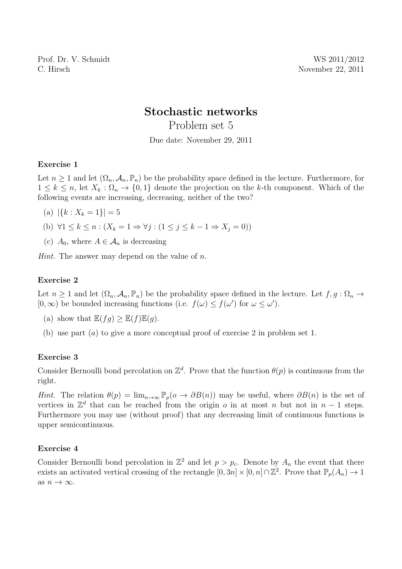Prof. Dr. V. Schmidt WS 2011/2012 C. Hirsch November 22, 2011

# Stochastic networks

Problem set 5

Due date: November 29, 2011

## Exercise 1

Let  $n \geq 1$  and let  $(\Omega_n, \mathcal{A}_n, \mathbb{P}_n)$  be the probability space defined in the lecture. Furthermore, for  $1 \leq k \leq n$ , let  $X_k : \Omega_n \to \{0,1\}$  denote the projection on the k-th component. Which of the following events are increasing, decreasing, neither of the two?

- (a)  $|\{k : X_k = 1\}| = 5$
- (b)  $\forall 1 \leq k \leq n : (X_k = 1 \Rightarrow \forall j : (1 \leq j \leq k 1 \Rightarrow X_j = 0))$
- (c)  $A_0$ , where  $A \in \mathcal{A}_n$  is decreasing

*Hint*. The answer may depend on the value of  $n$ .

## Exercise 2

Let  $n \geq 1$  and let  $(\Omega_n, \mathcal{A}_n, \mathbb{P}_n)$  be the probability space defined in the lecture. Let  $f, g : \Omega_n \to$  $[0, \infty)$  be bounded increasing functions (i.e.  $f(\omega) \leq f(\omega')$  for  $\omega \leq \omega'$ ).

- (a) show that  $\mathbb{E}(fq) > \mathbb{E}(f)\mathbb{E}(q)$ .
- (b) use part (a) to give a more conceptual proof of exercise 2 in problem set 1.

### Exercise 3

Consider Bernoulli bond percolation on  $\mathbb{Z}^d$ . Prove that the function  $\theta(p)$  is continuous from the right.

Hint. The relation  $\theta(p) = \lim_{n\to\infty} \mathbb{P}_p(o \to \partial B(n))$  may be useful, where  $\partial B(n)$  is the set of vertices in  $\mathbb{Z}^d$  that can be reached from the origin o in at most n but not in  $n-1$  steps. Furthermore you may use (without proof) that any decreasing limit of continuous functions is upper semicontinuous.

### Exercise 4

Consider Bernoulli bond percolation in  $\mathbb{Z}^2$  and let  $p > p_c$ . Denote by  $A_n$  the event that there exists an activated vertical crossing of the rectangle  $[0,3n] \times [0,n] \cap \mathbb{Z}^2$ . Prove that  $\mathbb{P}_p(A_n) \to 1$ as  $n \to \infty$ .